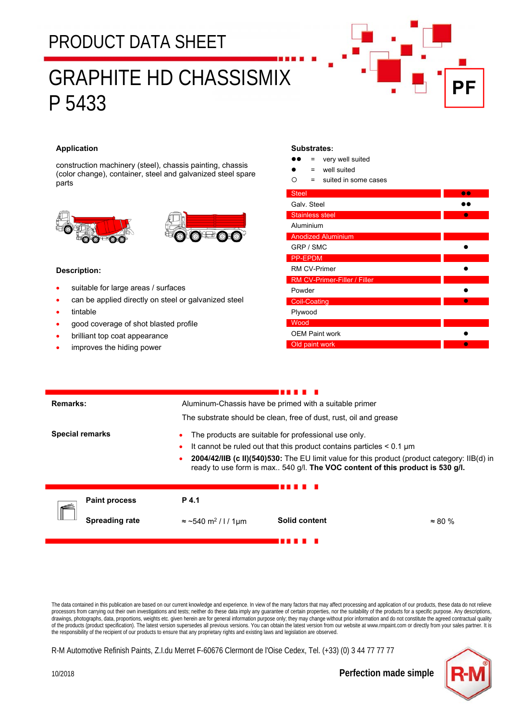## PRODUCT DATA SHEET

# GRAPHITE HD CHASSISMIX P 5433



### **Application**

construction machinery (steel), chassis painting, chassis (color change), container, steel and galvanized steel spare parts





#### **Description:**

- suitable for large areas / surfaces
- can be applied directly on steel or galvanized steel
- tintable
- good coverage of shot blasted profile
- brilliant top coat appearance
- improves the hiding power

#### **Substrates:**

| $\bullet$ | very well suited |
|-----------|------------------|
|-----------|------------------|

- = well suited
- $O =$  suited in some cases

| <b>Steel</b>                 |  |
|------------------------------|--|
| Galv. Steel                  |  |
| <b>Stainless steel</b>       |  |
| Aluminium                    |  |
| <b>Anodized Aluminium</b>    |  |
| GRP / SMC                    |  |
| <b>PP-EPDM</b>               |  |
| <b>RM CV-Primer</b>          |  |
| RM CV-Primer-Filler / Filler |  |
| Powder                       |  |
| <b>Coil-Coating</b>          |  |
| Plywood                      |  |
| Wood                         |  |
| <b>OEM Paint work</b>        |  |
| Old paint work               |  |

| Remarks:               | Aluminum-Chassis have be primed with a suitable primer                                                                                                                               |               |                |  |  |
|------------------------|--------------------------------------------------------------------------------------------------------------------------------------------------------------------------------------|---------------|----------------|--|--|
|                        | The substrate should be clean, free of dust, rust, oil and grease                                                                                                                    |               |                |  |  |
| <b>Special remarks</b> | The products are suitable for professional use only.                                                                                                                                 |               |                |  |  |
|                        | It cannot be ruled out that this product contains particles $< 0.1 \mu m$                                                                                                            |               |                |  |  |
|                        | <b>2004/42/IIB (c II)(540)530:</b> The EU limit value for this product (product category: IIB(d) in<br>ready to use form is max 540 q/l. The VOC content of this product is 530 q/l. |               |                |  |  |
|                        |                                                                                                                                                                                      |               |                |  |  |
| <b>Paint process</b>   | P 4.1                                                                                                                                                                                |               |                |  |  |
| <b>Spreading rate</b>  | $\approx$ ~540 m <sup>2</sup> / l / 1µm                                                                                                                                              | Solid content | $\approx 80\%$ |  |  |
|                        |                                                                                                                                                                                      |               |                |  |  |

The data contained in this publication are based on our current knowledge and experience. In view of the many factors that may affect processing and application of our products, these data do not relieve processors from carrying out their own investigations and tests; neither do these data imply any guarantee of certain properties, nor the suitability of the products for a specific purpose. Any descriptions, drawings, photographs, data, proportions, weights etc. given herein are for general information purpose only; they may change without prior information and do not constitute the agreed contractual quality of the products (product specification). The latest version supersedes all previous versions. You can obtain the latest version from our website at www.rmpaint.com or directly from your sales partner. It is the responsibility of the recipient of our products to ensure that any proprietary rights and existing laws and legislation are observed.

R-M Automotive Refinish Paints, Z.I.du Merret F-60676 Clermont de l'Oise Cedex, Tel. (+33) (0) 3 44 77 77 77